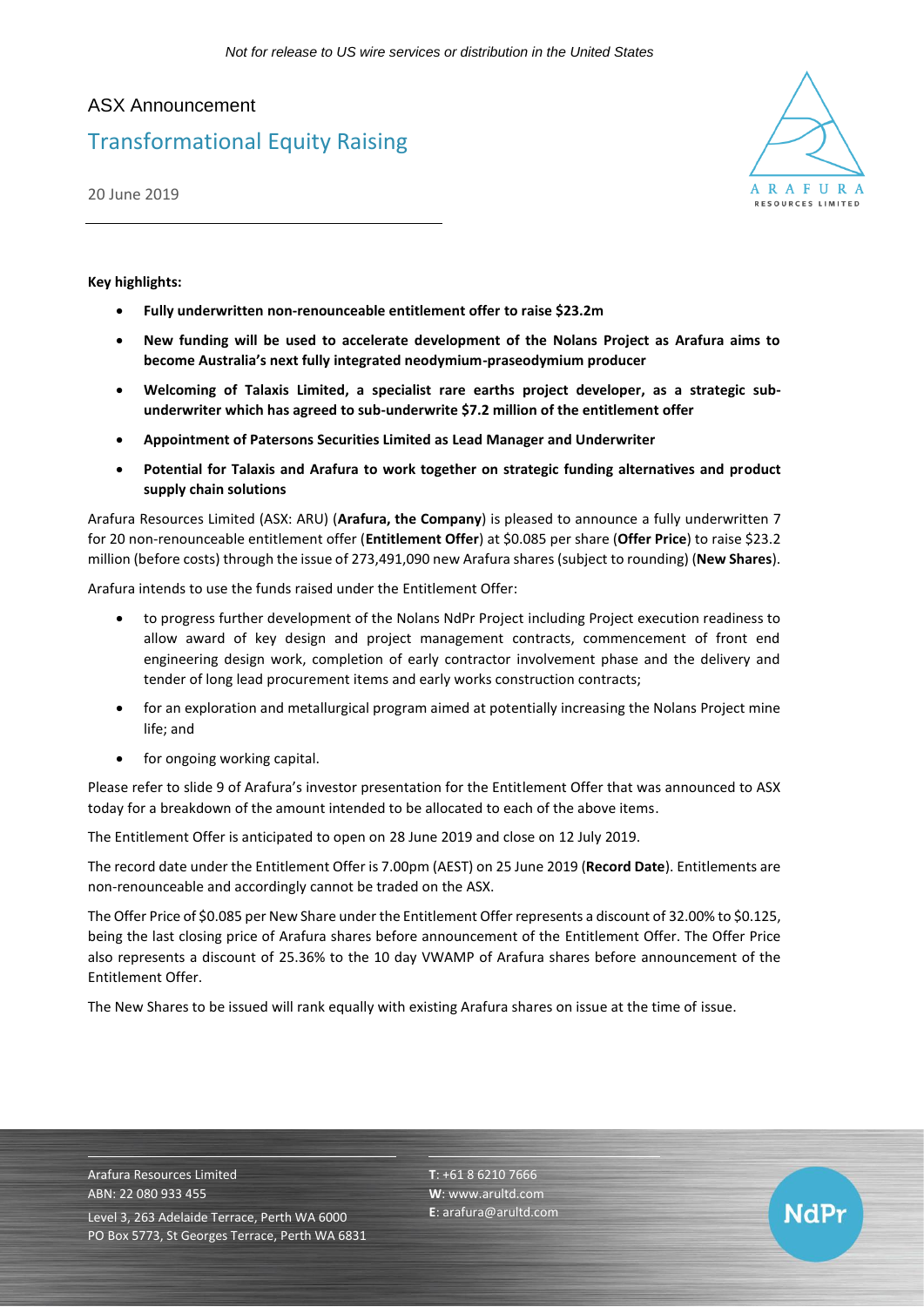# ASX Announcement Transformational Equity Raising

20 June 2019



NdPr

**Key highlights:**

- **Fully underwritten non-renounceable entitlement offer to raise \$23.2m**
- **New funding will be used to accelerate development of the Nolans Project as Arafura aims to become Australia's next fully integrated neodymium-praseodymium producer**
- **Welcoming of Talaxis Limited, a specialist rare earths project developer, as a strategic subunderwriter which has agreed to sub-underwrite \$7.2 million of the entitlement offer**
- **Appointment of Patersons Securities Limited as Lead Manager and Underwriter**
- **Potential for Talaxis and Arafura to work together on strategic funding alternatives and product supply chain solutions**

Arafura Resources Limited (ASX: ARU) (**Arafura, the Company**) is pleased to announce a fully underwritten 7 for 20 non-renounceable entitlement offer (**Entitlement Offer**) at \$0.085 per share (**Offer Price**) to raise \$23.2 million (before costs) through the issue of 273,491,090 new Arafura shares (subject to rounding) (**New Shares**).

Arafura intends to use the funds raised under the Entitlement Offer:

- to progress further development of the Nolans NdPr Project including Project execution readiness to allow award of key design and project management contracts, commencement of front end engineering design work, completion of early contractor involvement phase and the delivery and tender of long lead procurement items and early works construction contracts;
- for an exploration and metallurgical program aimed at potentially increasing the Nolans Project mine life; and
- for ongoing working capital.

Please refer to slide 9 of Arafura's investor presentation for the Entitlement Offer that was announced to ASX today for a breakdown of the amount intended to be allocated to each of the above items.

The Entitlement Offer is anticipated to open on 28 June 2019 and close on 12 July 2019.

The record date under the Entitlement Offer is 7.00pm (AEST) on 25 June 2019 (**Record Date**). Entitlements are non-renounceable and accordingly cannot be traded on the ASX.

The Offer Price of \$0.085 per New Share under the Entitlement Offer represents a discount of 32.00% to \$0.125, being the last closing price of Arafura shares before announcement of the Entitlement Offer. The Offer Price also represents a discount of 25.36% to the 10 day VWAMP of Arafura shares before announcement of the Entitlement Offer.

The New Shares to be issued will rank equally with existing Arafura shares on issue at the time of issue.

Arafura Resources Limited ABN: 22 080 933 455 Level 3, 263 Adelaide Terrace, Perth WA 6000 PO Box 5773, St Georges Terrace, Perth WA 6831 **T**: +61 8 6210 7666 **W**: [www.arultd.com](http://www.arultd.com/) **E**[: arafura@arultd.com](mailto:arafura@arultd.com)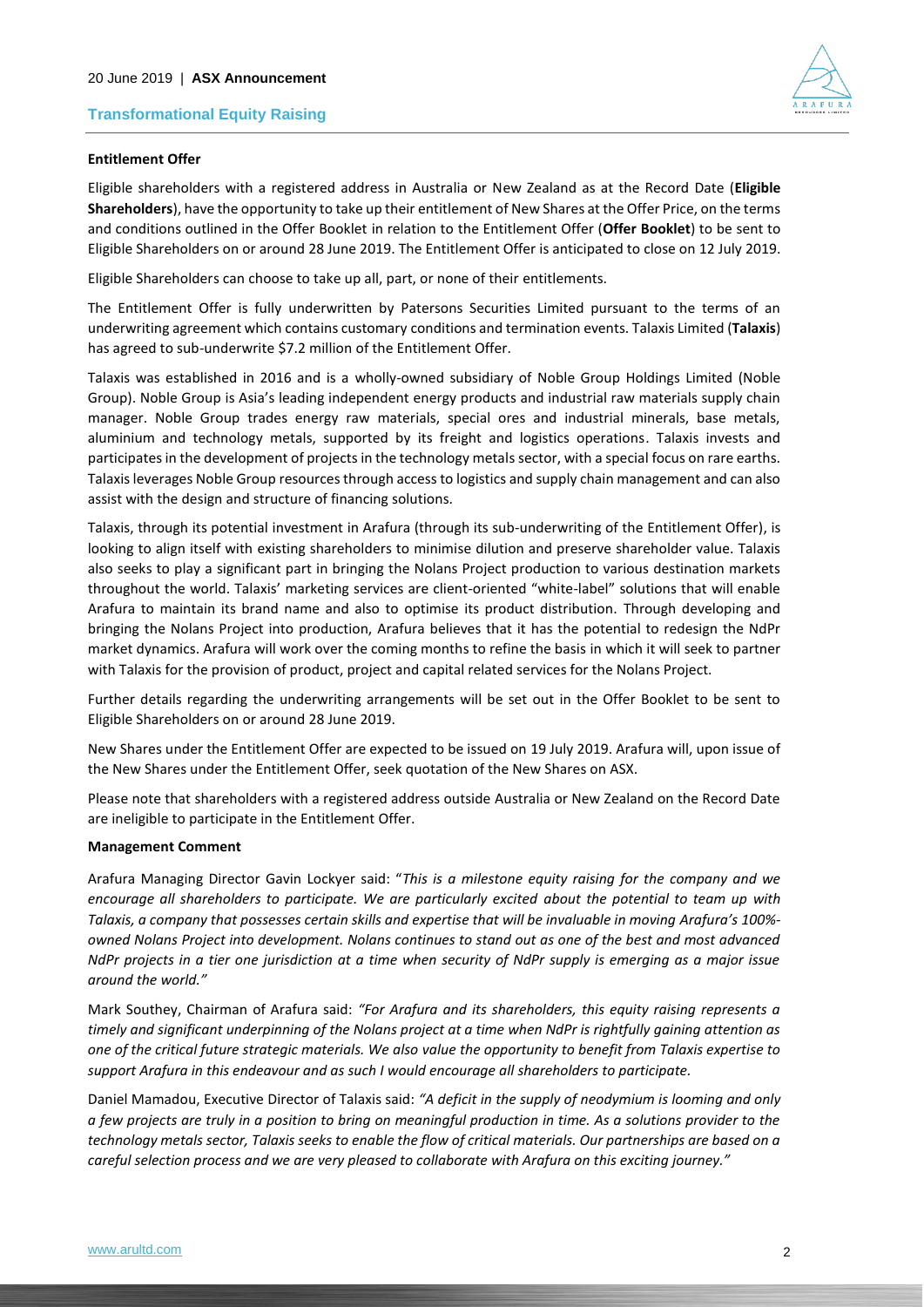

## **Entitlement Offer**

Eligible shareholders with a registered address in Australia or New Zealand as at the Record Date (**Eligible Shareholders**), have the opportunity to take up their entitlement of New Shares at the Offer Price, on the terms and conditions outlined in the Offer Booklet in relation to the Entitlement Offer (**Offer Booklet**) to be sent to Eligible Shareholders on or around 28 June 2019. The Entitlement Offer is anticipated to close on 12 July 2019.

Eligible Shareholders can choose to take up all, part, or none of their entitlements.

The Entitlement Offer is fully underwritten by Patersons Securities Limited pursuant to the terms of an underwriting agreement which contains customary conditions and termination events. Talaxis Limited (**Talaxis**) has agreed to sub-underwrite \$7.2 million of the Entitlement Offer.

Talaxis was established in 2016 and is a wholly-owned subsidiary of Noble Group Holdings Limited (Noble Group). Noble Group is Asia's leading independent energy products and industrial raw materials supply chain manager. Noble Group trades energy raw materials, special ores and industrial minerals, base metals, aluminium and technology metals, supported by its freight and logistics operations. Talaxis invests and participates in the development of projects in the technology metals sector, with a special focus on rare earths. Talaxis leverages Noble Group resources through access to logistics and supply chain management and can also assist with the design and structure of financing solutions.

Talaxis, through its potential investment in Arafura (through its sub-underwriting of the Entitlement Offer), is looking to align itself with existing shareholders to minimise dilution and preserve shareholder value. Talaxis also seeks to play a significant part in bringing the Nolans Project production to various destination markets throughout the world. Talaxis' marketing services are client-oriented "white-label" solutions that will enable Arafura to maintain its brand name and also to optimise its product distribution. Through developing and bringing the Nolans Project into production, Arafura believes that it has the potential to redesign the NdPr market dynamics. Arafura will work over the coming months to refine the basis in which it will seek to partner with Talaxis for the provision of product, project and capital related services for the Nolans Project.

Further details regarding the underwriting arrangements will be set out in the Offer Booklet to be sent to Eligible Shareholders on or around 28 June 2019.

New Shares under the Entitlement Offer are expected to be issued on 19 July 2019. Arafura will, upon issue of the New Shares under the Entitlement Offer, seek quotation of the New Shares on ASX.

Please note that shareholders with a registered address outside Australia or New Zealand on the Record Date are ineligible to participate in the Entitlement Offer.

### **Management Comment**

Arafura Managing Director Gavin Lockyer said: "*This is a milestone equity raising for the company and we encourage all shareholders to participate. We are particularly excited about the potential to team up with Talaxis, a company that possesses certain skills and expertise that will be invaluable in moving Arafura's 100% owned Nolans Project into development. Nolans continues to stand out as one of the best and most advanced NdPr projects in a tier one jurisdiction at a time when security of NdPr supply is emerging as a major issue around the world."*

Mark Southey, Chairman of Arafura said: *"For Arafura and its shareholders, this equity raising represents a timely and significant underpinning of the Nolans project at a time when NdPr is rightfully gaining attention as one of the critical future strategic materials. We also value the opportunity to benefit from Talaxis expertise to support Arafura in this endeavour and as such I would encourage all shareholders to participate.* 

Daniel Mamadou, Executive Director of Talaxis said: *"A deficit in the supply of neodymium is looming and only a few projects are truly in a position to bring on meaningful production in time. As a solutions provider to the technology metals sector, Talaxis seeks to enable the flow of critical materials. Our partnerships are based on a careful selection process and we are very pleased to collaborate with Arafura on this exciting journey."*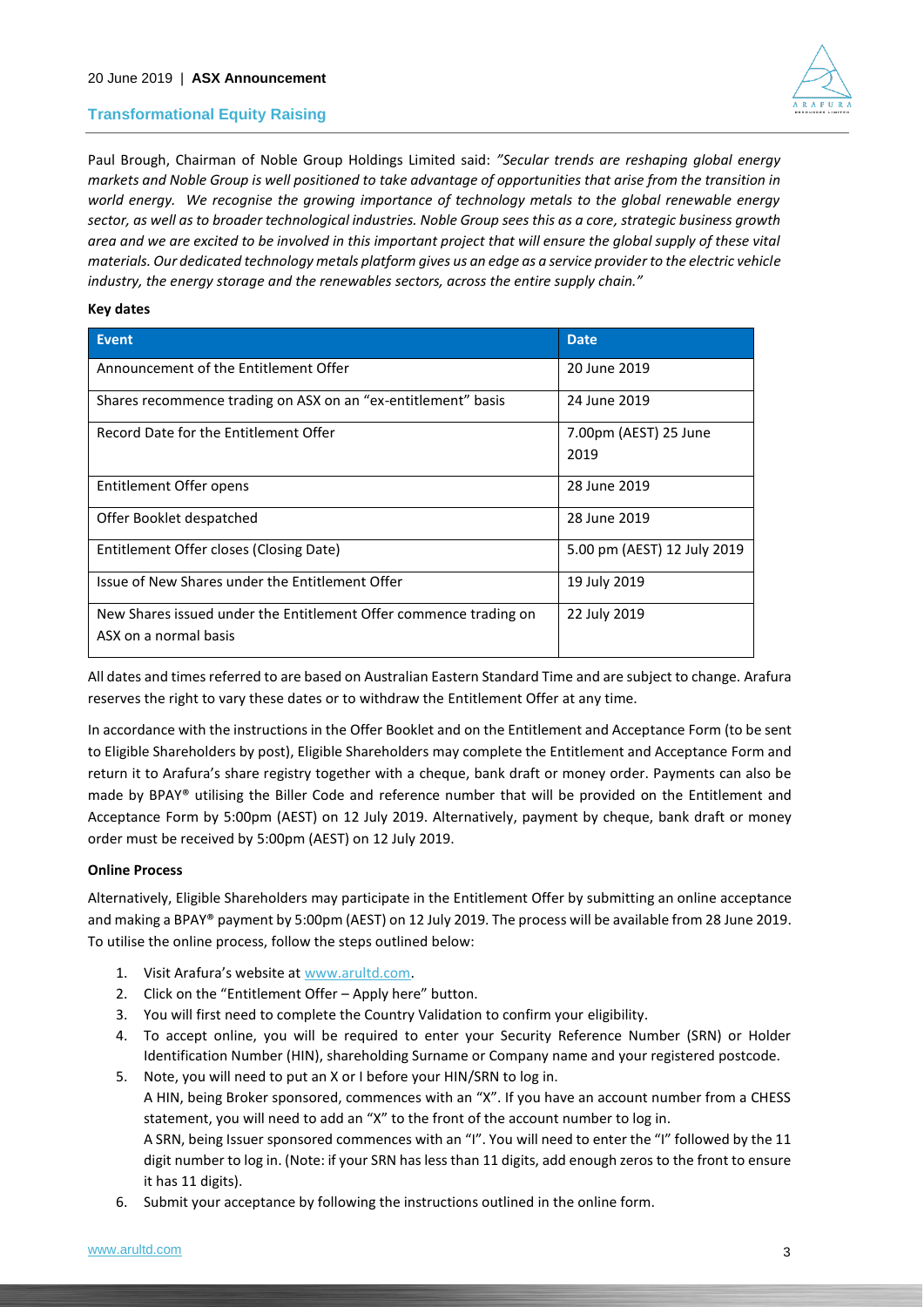

Paul Brough, Chairman of Noble Group Holdings Limited said: *"Secular trends are reshaping global energy markets and Noble Group is well positioned to take advantage of opportunities that arise from the transition in world energy. We recognise the growing importance of technology metals to the global renewable energy sector, as well as to broader technological industries. Noble Group sees this as a core, strategic business growth area and we are excited to be involved in this important project that will ensure the global supply of these vital materials. Our dedicated technology metals platform gives us an edge as a service provider to the electric vehicle industry, the energy storage and the renewables sectors, across the entire supply chain."*

## **Key dates**

| <b>Event</b>                                                      | <b>Date</b>                 |
|-------------------------------------------------------------------|-----------------------------|
| Announcement of the Entitlement Offer                             | 20 June 2019                |
| Shares recommence trading on ASX on an "ex-entitlement" basis     | 24 June 2019                |
| Record Date for the Entitlement Offer                             | 7.00pm (AEST) 25 June       |
|                                                                   | 2019                        |
| Entitlement Offer opens                                           | 28 June 2019                |
| Offer Booklet despatched                                          | 28 June 2019                |
| Entitlement Offer closes (Closing Date)                           | 5.00 pm (AEST) 12 July 2019 |
| Issue of New Shares under the Entitlement Offer                   | 19 July 2019                |
| New Shares issued under the Entitlement Offer commence trading on | 22 July 2019                |
| ASX on a normal basis                                             |                             |

All dates and times referred to are based on Australian Eastern Standard Time and are subject to change. Arafura reserves the right to vary these dates or to withdraw the Entitlement Offer at any time.

In accordance with the instructions in the Offer Booklet and on the Entitlement and Acceptance Form (to be sent to Eligible Shareholders by post), Eligible Shareholders may complete the Entitlement and Acceptance Form and return it to Arafura's share registry together with a cheque, bank draft or money order. Payments can also be made by BPAY® utilising the Biller Code and reference number that will be provided on the Entitlement and Acceptance Form by 5:00pm (AEST) on 12 July 2019. Alternatively, payment by cheque, bank draft or money order must be received by 5:00pm (AEST) on 12 July 2019.

### **Online Process**

Alternatively, Eligible Shareholders may participate in the Entitlement Offer by submitting an online acceptance and making a BPAY® payment by 5:00pm (AEST) on 12 July 2019. The process will be available from 28 June 2019. To utilise the online process, follow the steps outlined below:

- 1. Visit Arafura's website at [www.arultd.com.](http://www.arultd.com/)
- 2. Click on the "Entitlement Offer Apply here" button.
- 3. You will first need to complete the Country Validation to confirm your eligibility.
- 4. To accept online, you will be required to enter your Security Reference Number (SRN) or Holder Identification Number (HIN), shareholding Surname or Company name and your registered postcode.
- 5. Note, you will need to put an X or I before your HIN/SRN to log in.

A HIN, being Broker sponsored, commences with an "X". If you have an account number from a CHESS statement, you will need to add an "X" to the front of the account number to log in.

A SRN, being Issuer sponsored commences with an "I". You will need to enter the "I" followed by the 11 digit number to log in. (Note: if your SRN has less than 11 digits, add enough zeros to the front to ensure it has 11 digits).

6. Submit your acceptance by following the instructions outlined in the online form.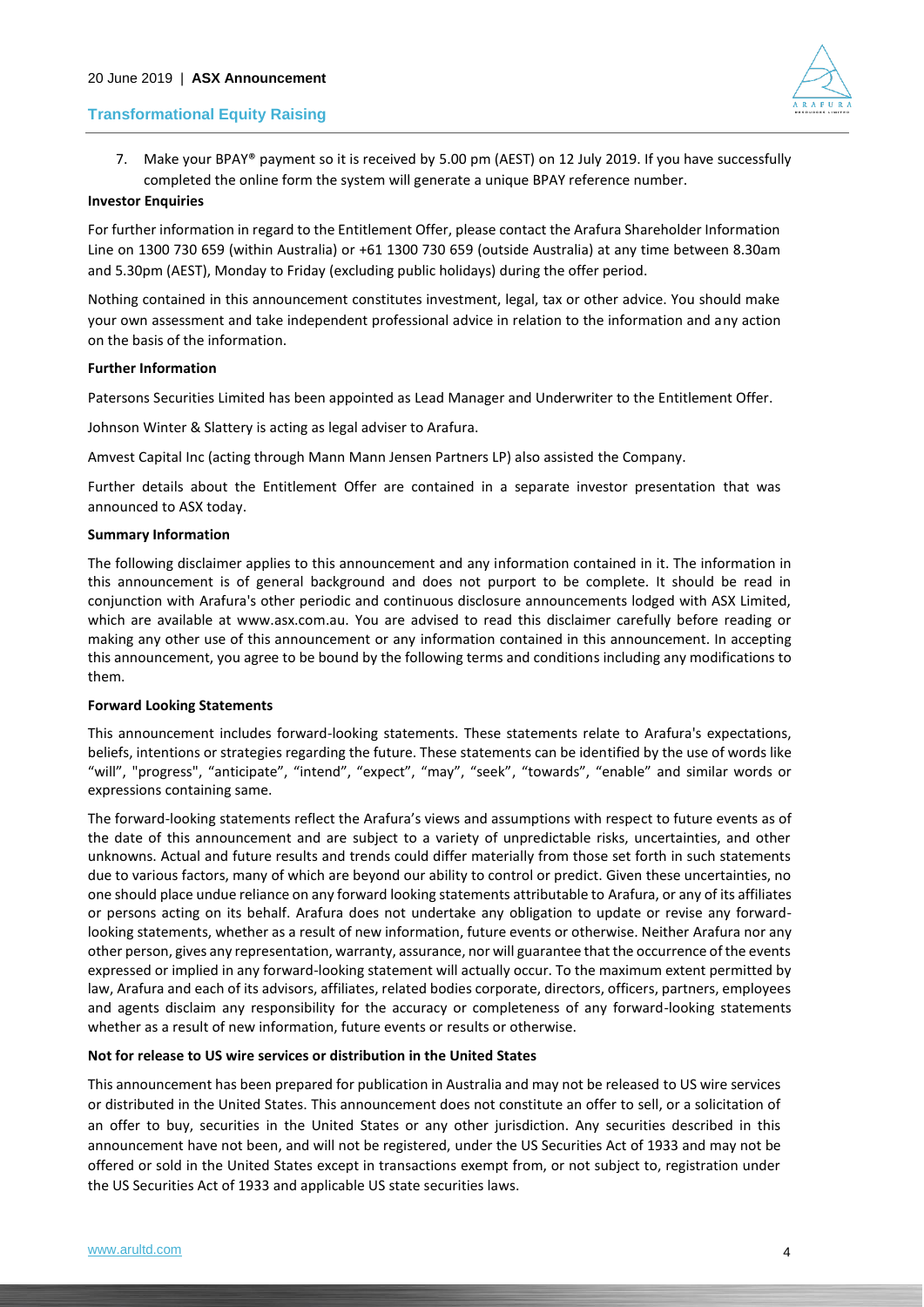

7. Make your BPAY® payment so it is received by 5.00 pm (AEST) on 12 July 2019. If you have successfully completed the online form the system will generate a unique BPAY reference number.

## **Investor Enquiries**

For further information in regard to the Entitlement Offer, please contact the Arafura Shareholder Information Line on 1300 730 659 (within Australia) or +61 1300 730 659 (outside Australia) at any time between 8.30am and 5.30pm (AEST), Monday to Friday (excluding public holidays) during the offer period.

Nothing contained in this announcement constitutes investment, legal, tax or other advice. You should make your own assessment and take independent professional advice in relation to the information and any action on the basis of the information.

## **Further Information**

Patersons Securities Limited has been appointed as Lead Manager and Underwriter to the Entitlement Offer.

Johnson Winter & Slattery is acting as legal adviser to Arafura.

Amvest Capital Inc (acting through Mann Mann Jensen Partners LP) also assisted the Company.

Further details about the Entitlement Offer are contained in a separate investor presentation that was announced to ASX today.

### **Summary Information**

The following disclaimer applies to this announcement and any information contained in it. The information in this announcement is of general background and does not purport to be complete. It should be read in conjunction with Arafura's other periodic and continuous disclosure announcements lodged with ASX Limited, which are available at www.asx.com.au. You are advised to read this disclaimer carefully before reading or making any other use of this announcement or any information contained in this announcement. In accepting this announcement, you agree to be bound by the following terms and conditions including any modifications to them.

### **Forward Looking Statements**

This announcement includes forward-looking statements. These statements relate to Arafura's expectations, beliefs, intentions or strategies regarding the future. These statements can be identified by the use of words like "will", "progress", "anticipate", "intend", "expect", "may", "seek", "towards", "enable" and similar words or expressions containing same.

The forward-looking statements reflect the Arafura's views and assumptions with respect to future events as of the date of this announcement and are subject to a variety of unpredictable risks, uncertainties, and other unknowns. Actual and future results and trends could differ materially from those set forth in such statements due to various factors, many of which are beyond our ability to control or predict. Given these uncertainties, no one should place undue reliance on any forward looking statements attributable to Arafura, or any of its affiliates or persons acting on its behalf. Arafura does not undertake any obligation to update or revise any forwardlooking statements, whether as a result of new information, future events or otherwise. Neither Arafura nor any other person, gives any representation, warranty, assurance, nor will guarantee that the occurrence of the events expressed or implied in any forward-looking statement will actually occur. To the maximum extent permitted by law, Arafura and each of its advisors, affiliates, related bodies corporate, directors, officers, partners, employees and agents disclaim any responsibility for the accuracy or completeness of any forward-looking statements whether as a result of new information, future events or results or otherwise.

## **Not for release to US wire services or distribution in the United States**

This announcement has been prepared for publication in Australia and may not be released to US wire services or distributed in the United States. This announcement does not constitute an offer to sell, or a solicitation of an offer to buy, securities in the United States or any other jurisdiction. Any securities described in this announcement have not been, and will not be registered, under the US Securities Act of 1933 and may not be offered or sold in the United States except in transactions exempt from, or not subject to, registration under the US Securities Act of 1933 and applicable US state securities laws.